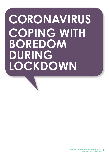## **CORONAVIRUS COPING WITH BOREDOM DURING LOCKDOWN**

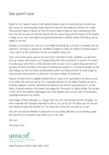## Dear parent/carer

During the first couple of weeks of self-isolation lockdown, when the novelty and our motivation was high, many of us were busy doing things around the house that had needed our attention for a while. These activities helped to distract us from the intense reality of what we were experiencing at that time. Now that we were are well and truly into this new way of being, and the newness of the situation is fading, we are much more likely to be experiencing boredom as another emotion affecting us and our children at this time.

Boredom is an emotional state that most of us initially find difficult due to the lack of stimulation that we experience. This leaves us yearning for something to happen to relieve the feeling of emotional unease. It is also a sign to us that something is not how we would like things to be.

There can be many reasons why we are more prone to boredom at times. Sometimes, we disconnect with our emotions which leads to us to feeling nothing other than switched off or bored in the moment. It can also occur when there is conflict between what we want to do or could be doing, and what we are doing. This kind of boredom is the result of monotony and repetition. It is the kind of boredom we will all be feeling, now that our choices and pleasurable pastimes are being restricted. As human beings we crave newness and excitement, as otherwise it can lead to feelings of restlessness.

However, boredom can be a valuable emotional state as it gives us the opportunity to do what we want to do, rather than what we must do. This is especially important for our children. Boredom can lead to creativity, imaginative curiosity, spontaneity and widening of our interests and experiences. It can also help us to ground ourselves in the moment and engage with the present as fully as possible. This can lead to flow, one of the healthiest psychological states. Flow happens when we lose track of time by being completely immersed in the moment.

Interestingly, in Chinese philosophy, it is thought that if we stick with boredom and move through it, we will be rewarded with fascination. Hopefully for all of us, we can test out this theory over the time we have ahead and realise that boredom isn't the enemy, but a friend that can teach us so much.

Stay safe and well and remember, by doing what we are all doing collectively, we are showing a global love and care for one another, never before seen on this scale.

Take care.

The Unravel Team



Supporting you on behalf of your child's school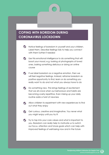## **COPING WITH BOREDOM DURING CORONAVIRUS LOCKDOWN**

- Notice feelings of boredom in yourself and your children. Label them. Describe feelings fully to help you connect with them further if needed
- Use this emotional intelligence to do something that will boost your mood, e.g. looking at photographs of loved ones, baking something delicious or doing an online course
- $\bigtriangledown$  If we label boredom as a negative emotion, then we will feel negative feelings. Instead, reframe boredom as positive opportunity to find, learn or do something you really want to do and not what you always have to do
- Do something new. This brings feelings of excitement that we all crave when our behaviours and habits are becoming overly repetitive. Even mixing up your daily routine adds a twist of newness
- Allow children to experiment with new experiences to find out what they enjoy
- Get curious, creative and imaginative. You never what you might enjoy until you try it!
- Try to tap into your core values and what is important to you. Boredom can really help to motivate us to switch our focus, attention and future goals which can help with improved feelings of well-being now and in the future